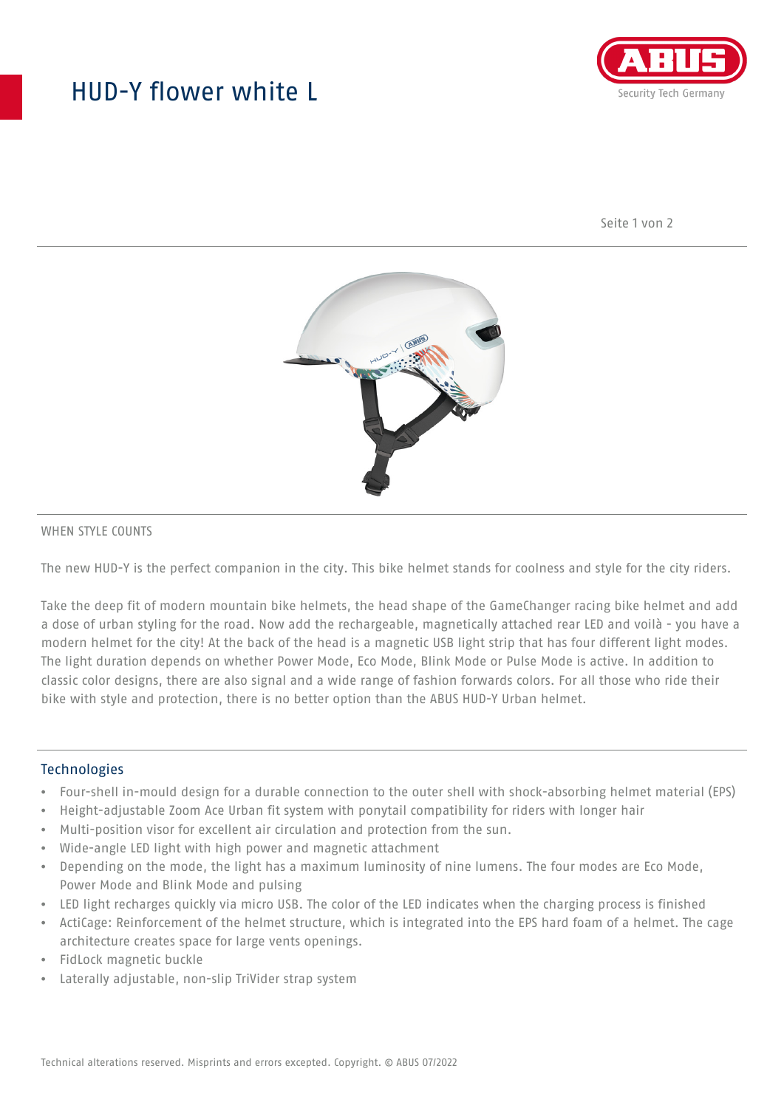## HUD-Y flower white L



Seite 1 von 2



#### WHEN STYLE COUNTS

The new HUD-Y is the perfect companion in the city. This bike helmet stands for coolness and style for the city riders.

Take the deep fit of modern mountain bike helmets, the head shape of the GameChanger racing bike helmet and add a dose of urban styling for the road. Now add the rechargeable, magnetically attached rear LED and voilà - you have a modern helmet for the city! At the back of the head is a magnetic USB light strip that has four different light modes. The light duration depends on whether Power Mode, Eco Mode, Blink Mode or Pulse Mode is active. In addition to classic color designs, there are also signal and a wide range of fashion forwards colors. For all those who ride their bike with style and protection, there is no better option than the ABUS HUD-Y Urban helmet.

#### **Technologies**

- Four-shell in-mould design for a durable connection to the outer shell with shock-absorbing helmet material (EPS)
- Height-adjustable Zoom Ace Urban fit system with ponytail compatibility for riders with longer hair
- Multi-position visor for excellent air circulation and protection from the sun.
- Wide-angle LED light with high power and magnetic attachment
- Depending on the mode, the light has a maximum luminosity of nine lumens. The four modes are Eco Mode, Power Mode and Blink Mode and pulsing
- LED light recharges quickly via micro USB. The color of the LED indicates when the charging process is finished
- ActiCage: Reinforcement of the helmet structure, which is integrated into the EPS hard foam of a helmet. The cage architecture creates space for large vents openings.
- FidLock magnetic buckle
- Laterally adjustable, non-slip TriVider strap system